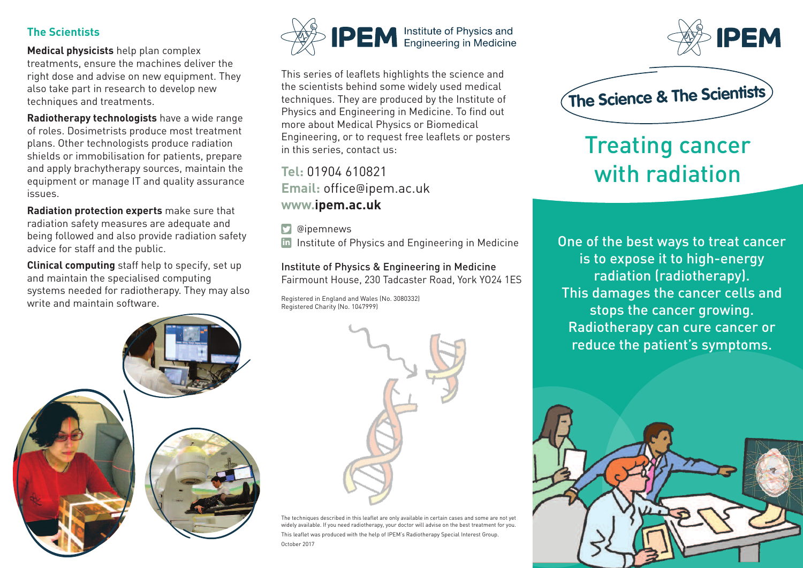## **The Scientists**

**Medical physicists** help plan complex treatments, ensure the machines deliver the right dose and advise on new equipment. They also take part in research to develop new techniques and treatments.

**Radiotherapy technologists** have a wide range of roles. Dosimetrists produce most treatment plans. Other technologists produce radiation shields or immobilisation for patients, prepare and apply brachytherapy sources, maintain the equipment or manage IT and quality assurance issues.

**Radiation protection experts** make sure that radiation safety measures are adequate and being followed and also provide radiation safety advice for staff and the public.

**Clinical computing** staff help to specify, set up and maintain the specialised computing systems needed for radiotherapy. They may also write and maintain software.



This series of leaflets highlights the science and the scientists behind some widely used medical techniques. They are produced by the Institute of Physics and Engineering in Medicine. To find out more about Medical Physics or Biomedical Engineering, or to request free leaflets or posters in this series, contact us:

**Tel:** 01904 610821 **Email:** office@ipem.ac.uk **www.ipem.ac.uk**

**D** @ipemnews

in Institute of Physics and Engineering in Medicine

Institute of Physics & Engineering in Medicine Fairmount House, 230 Tadcaster Road, York YO24 1ES

Registered in England and Wales (No. 3080332) Registered Charity (No. 1047999)





The techniques described in this leaflet are only available in certain cases and some are not yet widely available. If you need radiotherapy, your doctor will advise on the best treatment for you. This leaflet was produced with the help of IPEM's Radiotherapy Special Interest Group. October 2017





## Treating cancer with radiation

One of the best ways to treat cancer is to expose it to high-energy radiation (radiotherapy). This damages the cancer cells and stops the cancer growing. Radiotherapy can cure cancer or reduce the patient's symptoms.